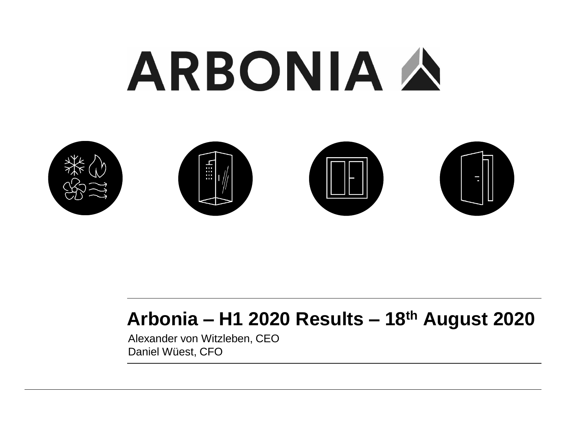# ARBONIA A



## **Arbonia – H1 2020 Results – 18th August 2020**

Alexander von Witzleben, CEO Daniel Wüest, CFO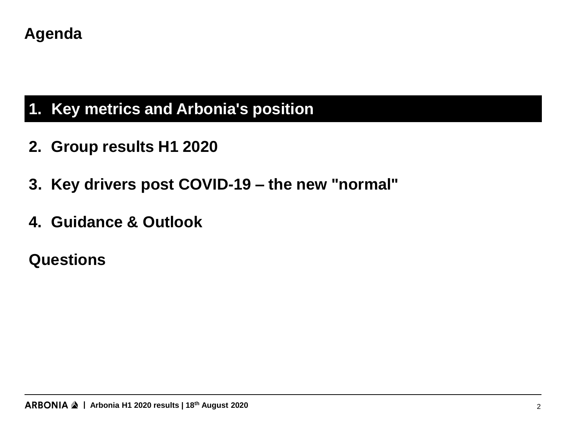#### **Agenda**

## **1. Key metrics and Arbonia's position 1. Key metrics and Arbonia's position**

- **2. Group results H1 2020**
- **3. Key drivers post COVID-19 – the new "normal"**
- **4. Guidance & Outlook**

#### **Questions**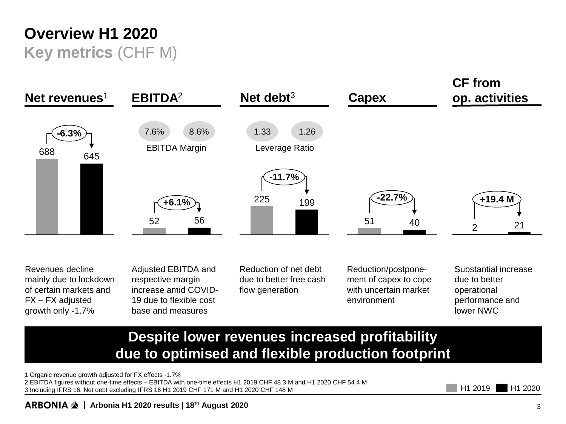### **Overview H1 2020 Key metrics** (CHF M)



Revenues decline mainly due to lockdown of certain markets and FX – FX adjusted growth only -1.7%

Adjusted EBITDA and respective margin increase amid COVID-19 due to flexible cost base and measures

Reduction of net debt due to better free cash flow generation

Reduction/postponement of capex to cope with uncertain market environment

Substantial increase due to better operational performance and lower NWC

#### **Despite lower revenues increased profitability due to optimised and flexible production footprint**

1 Organic revenue growth adjusted for FX effects -1.7%

2 EBITDA figures without one-time effects – EBITDA with one-time effects H1 2019 CHF 48.3 M and H1 2020 CHF 54.4 M 3 Including IFRS 16. Net debt excluding IFRS 16 H1 2019 CHF 171 M and H1 2020 CHF 148 M

H<sub>1</sub> 2019 H<sub>1</sub> 2020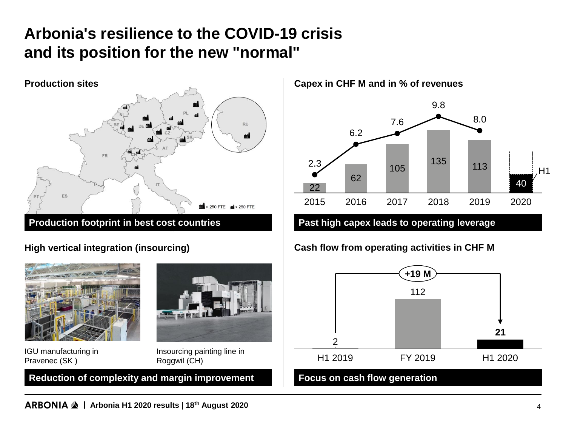## **Arbonia's resilience to the COVID-19 crisis and its position for the new "normal"**



#### **High vertical integration (insourcing)**



**Capex in CHF M and in % of revenues**



#### **Cash flow from operating activities in CHF M**

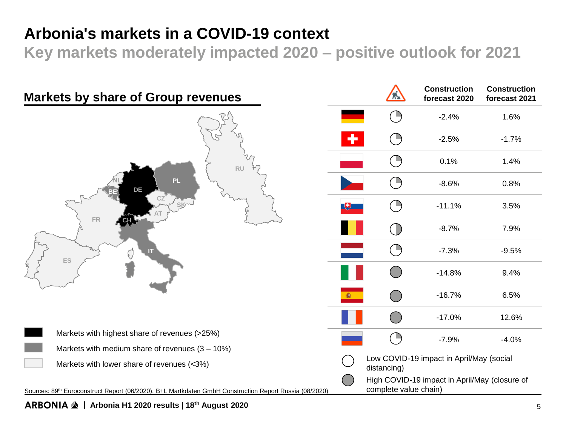#### **Arbonia's markets in a COVID-19 context**

**Key markets moderately impacted 2020 – positive outlook for 2021**



#### **| Arbonia H1 2020 results | 18th August 2020** 5

**Construction forecast 2021**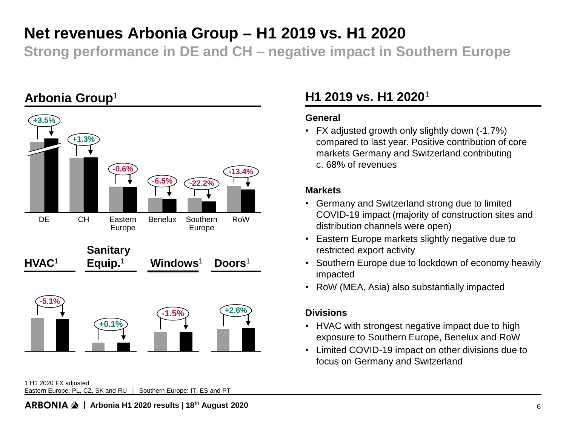#### **Net revenues Arbonia Group − H1 2019 vs. H1 2020**

**Strong performance in DE and CH – negative impact in Southern Europe**



#### 1 H1 2020 FX adjusted Eastern Europe: PL, CZ, SK and RU | Southern Europe: IT, ES and PT

#### **H1 2019 vs. H1 2020**<sup>1</sup>

#### **General**

• FX adjusted growth only slightly down (-1.7%) compared to last year. Positive contribution of core markets Germany and Switzerland contributing c. 68% of revenues

#### **Markets**

- Germany and Switzerland strong due to limited COVID-19 impact (majority of construction sites and distribution channels were open)
- Eastern Europe markets slightly negative due to restricted export activity
- Southern Europe due to lockdown of economy heavily impacted
- RoW (MEA, Asia) also substantially impacted

#### **Divisions**

- HVAC with strongest negative impact due to high exposure to Southern Europe, Benelux and RoW
- Limited COVID-19 impact on other divisions due to focus on Germany and Switzerland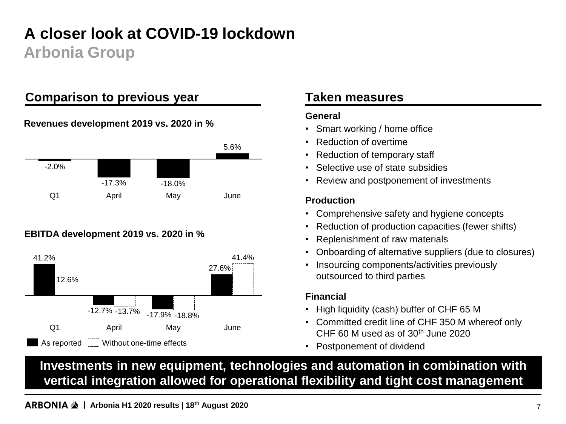## **A closer look at COVID-19 lockdown Arbonia Group**

#### **Comparison to previous year**

#### **Revenues development 2019 vs. 2020 in %**



#### **EBITDA development 2019 vs. 2020 in %**



#### **Taken measures**

#### **General**

- Smart working / home office
- Reduction of overtime
- Reduction of temporary staff
- Selective use of state subsidies
- Review and postponement of investments

#### **Production**

- Comprehensive safety and hygiene concepts
- Reduction of production capacities (fewer shifts)
- Replenishment of raw materials
- Onboarding of alternative suppliers (due to closures)
- Insourcing components/activities previously outsourced to third parties

#### **Financial**

- High liquidity (cash) buffer of CHF 65 M
- Committed credit line of CHF 350 M whereof only CHF 60 M used as of  $30<sup>th</sup>$  June 2020
- Postponement of dividend

**Investments in new equipment, technologies and automation in combination with vertical integration allowed for operational flexibility and tight cost management**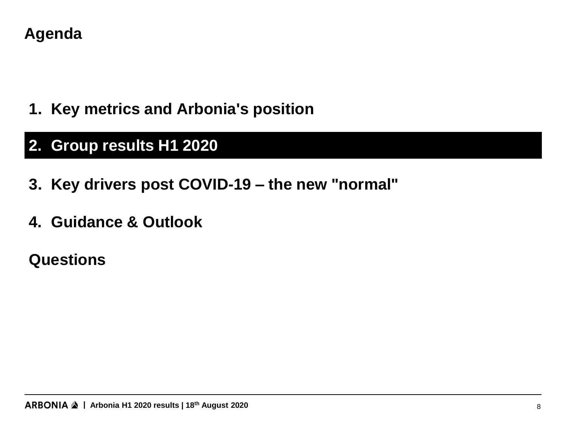#### **Agenda**

**1. Key metrics and Arbonia's position**

## **2. Group results H1 2020 2. Group results H1 2020**

- **3. Key drivers post COVID-19 – the new "normal"**
- **4. Guidance & Outlook**

## **Questions**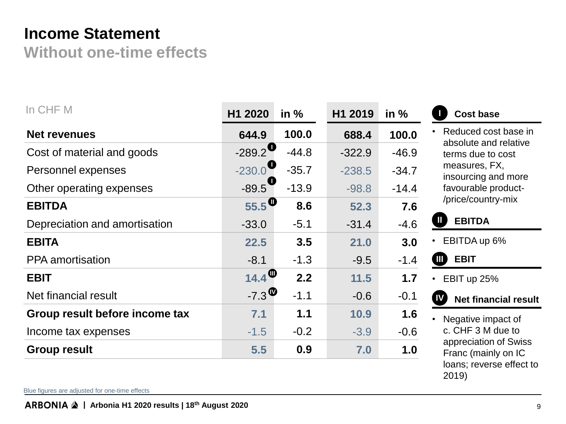#### **Income Statement**

**Without one-time effects**

| In CHF M                       | H1 2020                                     | in $%$  | H1 2019  | in $%$  | <b>Cost base</b>                                                         |  |
|--------------------------------|---------------------------------------------|---------|----------|---------|--------------------------------------------------------------------------|--|
| <b>Net revenues</b>            | 644.9                                       | 100.0   | 688.4    | 100.0   | Reduced cost base in<br>absolute and relative<br>terms due to cost       |  |
| Cost of material and goods     | $-289.2$                                    | $-44.8$ | $-322.9$ | $-46.9$ |                                                                          |  |
| Personnel expenses             | $-230.0$                                    | $-35.7$ | $-238.5$ | $-34.7$ | measures, FX,<br>insourcing and more                                     |  |
| Other operating expenses       | $-89.5$                                     | $-13.9$ | $-98.8$  | $-14.4$ | favourable product-                                                      |  |
| <b>EBITDA</b>                  | $55.5$ <sup>O</sup>                         | 8.6     | 52.3     | 7.6     | /price/country-mix                                                       |  |
| Depreciation and amortisation  | $-33.0$                                     | $-5.1$  | $-31.4$  | $-4.6$  | <b>EBITDA</b><br>$\mathbf \mathbf I$                                     |  |
| <b>EBITA</b>                   | 22.5                                        | 3.5     | 21.0     | 3.0     | EBITDA up 6%<br>$\bullet$                                                |  |
| <b>PPA</b> amortisation        | $-8.1$                                      | $-1.3$  | $-9.5$   | $-1.4$  | <b>EBIT</b><br>$\blacksquare$                                            |  |
| <b>EBIT</b>                    | $14.4^\circ$                                | 2.2     | 11.5     | 1.7     | EBIT up 25%<br>$\bullet$                                                 |  |
| Net financial result           | $-7.3$ <sup><math>\circledcirc</math></sup> | $-1.1$  | $-0.6$   | $-0.1$  | (W<br><b>Net financial result</b>                                        |  |
| Group result before income tax | 7.1                                         | 1.1     | 10.9     | 1.6     | Negative impact of                                                       |  |
| Income tax expenses            | $-1.5$                                      | $-0.2$  | $-3.9$   | $-0.6$  | c. CHF 3 M due to                                                        |  |
| <b>Group result</b>            | 5.5                                         | 0.9     | 7.0      | 1.0     | appreciation of Swiss<br>Franc (mainly on IC<br>loans; reverse effect to |  |

Blue figures are adjusted for one-time effects

2019)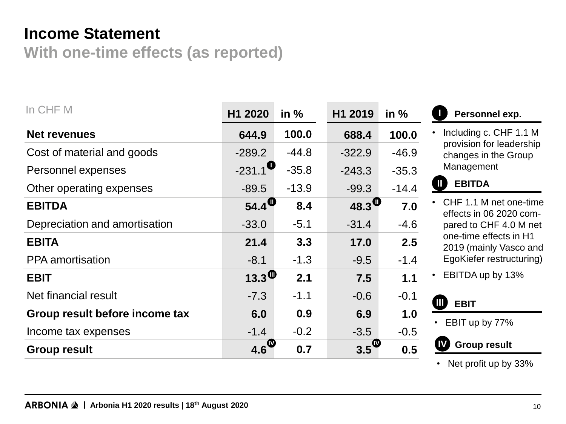#### **Income Statement**

**With one-time effects (as reported)**

| In CHF M                       | H1 2020                      | in $%$  | H1 2019            | in $%$  |
|--------------------------------|------------------------------|---------|--------------------|---------|
| <b>Net revenues</b>            | 644.9                        | 100.0   | 688.4              | 100.0   |
| Cost of material and goods     | $-289.2$                     | $-44.8$ | $-322.9$           | $-46.9$ |
| Personnel expenses             | $-231.1$ <sup>O</sup>        | $-35.8$ | $-243.3$           | $-35.3$ |
| Other operating expenses       | $-89.5$                      | $-13.9$ | $-99.3$            | $-14.4$ |
| <b>EBITDA</b>                  | $54.4$ <sup>O</sup>          | 8.4     | 48.3 $\mathbf{0}$  | 7.0     |
| Depreciation and amortisation  | $-33.0$                      | $-5.1$  | $-31.4$            | $-4.6$  |
| <b>EBITA</b>                   | 21.4                         | 3.3     | 17.0               | 2.5     |
| <b>PPA</b> amortisation        | $-8.1$                       | $-1.3$  | $-9.5$             | $-1.4$  |
| <b>EBIT</b>                    | 13.3 $\overline{\mathbf{w}}$ | 2.1     | 7.5                | 1.1     |
| Net financial result           | $-7.3$                       | $-1.1$  | $-0.6$             | $-0.1$  |
| Group result before income tax | 6.0                          | 0.9     | 6.9                | 1.0     |
| Income tax expenses            | $-1.4$                       | $-0.2$  | $-3.5$             | $-0.5$  |
| <b>Group result</b>            | $4.6^\circ$                  | 0.7     | $3.5^{\circ\circ}$ | 0.5     |



• Including c. CHF 1.1 M provision for leadership changes in the Group Management

#### **II EBITDA**

- CHF 1.1 M net one-time effects in 06 2020 compared to CHF 4.0 M net one-time effects in H1 2019 (mainly Vasco and EgoKiefer restructuring)
- EBITDA up by 13%



• EBIT up by 77%

#### **Group result**

• Net profit up by 33%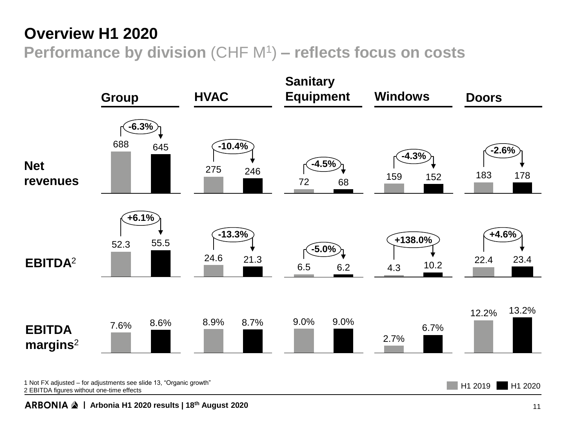#### **Overview H1 2020**

**Performance by division** (CHF M<sup>1</sup> ) **– reflects focus on costs**



**| Arbonia H1 2020 results | 18th August 2020** 11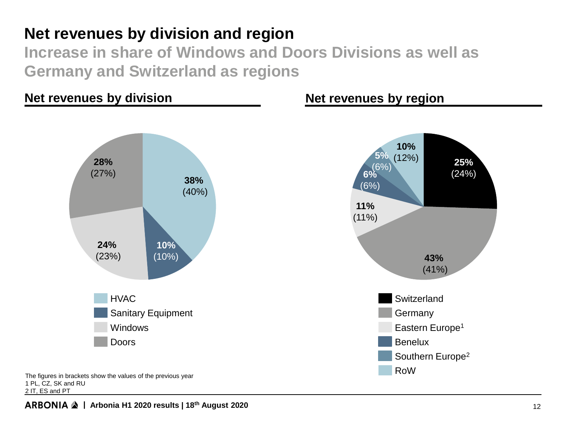#### **Net revenues by division and region**

**Increase in share of Windows and Doors Divisions as well as Germany and Switzerland as regions**

#### **Net revenues by division**



The figures in brackets show the values of the previous year 1 PL, CZ, SK and RU 2 IT, ES and PT

#### **Net revenues by region**

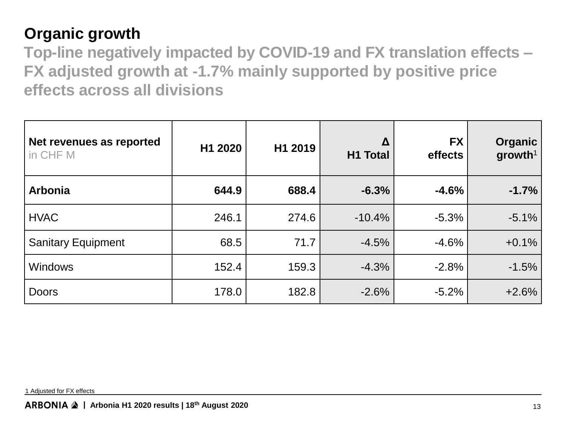## **Organic growth**

**Top-line negatively impacted by COVID-19 and FX translation effects – FX adjusted growth at -1.7% mainly supported by positive price effects across all divisions**

| Net revenues as reported<br>in CHF M | H1 2020 | H1 2019 | Δ<br><b>H1 Total</b> | <b>FX</b><br>effects | <b>Organic</b><br>$g$ rowth <sup>1</sup> |
|--------------------------------------|---------|---------|----------------------|----------------------|------------------------------------------|
| <b>Arbonia</b>                       | 644.9   | 688.4   | $-6.3%$              | $-4.6%$              | $-1.7%$                                  |
| <b>HVAC</b>                          | 246.1   | 274.6   | $-10.4%$             | $-5.3%$              | $-5.1%$                                  |
| <b>Sanitary Equipment</b>            | 68.5    | 71.7    | $-4.5%$              | $-4.6%$              | $+0.1%$                                  |
| <b>Windows</b>                       | 152.4   | 159.3   | $-4.3%$              | $-2.8%$              | $-1.5%$                                  |
| <b>Doors</b>                         | 178.0   | 182.8   | $-2.6%$              | $-5.2%$              | $+2.6%$                                  |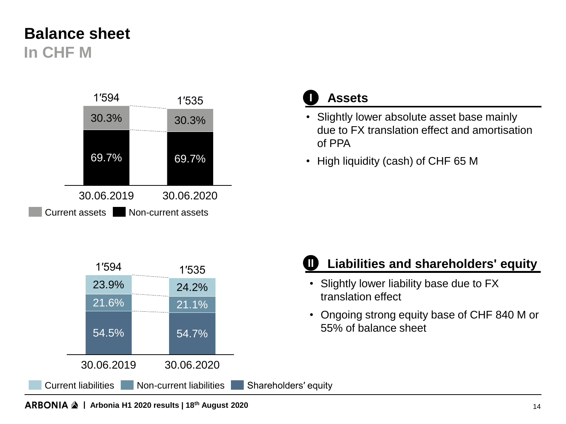#### **Balance sheet In CHF M**





- Slightly lower absolute asset base mainly due to FX translation effect and amortisation of PPA
- High liquidity (cash) of CHF 65 M



#### **II Liabilities and shareholders' equity**

- Slightly lower liability base due to FX translation effect
- Ongoing strong equity base of CHF 840 M or 55% of balance sheet

**| Arbonia H1 2020 results | 18th August 2020** 14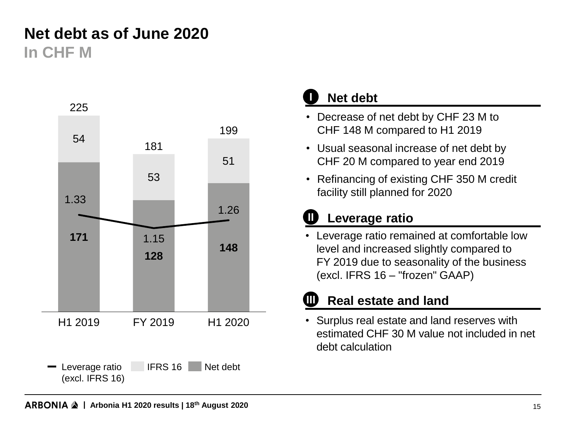## **Net debt as of June 2020 In CHF M**



#### **I Net debt**

- Decrease of net debt by CHF 23 M to CHF 148 M compared to H1 2019
- Usual seasonal increase of net debt by CHF 20 M compared to year end 2019
- Refinancing of existing CHF 350 M credit facility still planned for 2020

#### **II Leverage ratio**

• Leverage ratio remained at comfortable low level and increased slightly compared to FY 2019 due to seasonality of the business (excl. IFRS 16 – "frozen" GAAP)

#### **III Real estate and land**

• Surplus real estate and land reserves with estimated CHF 30 M value not included in net debt calculation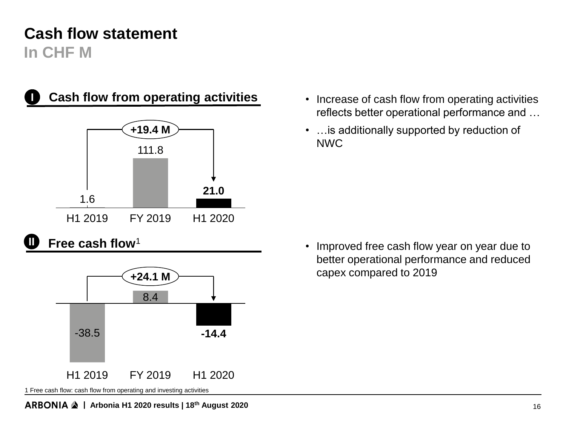### **Cash flow statement In CHF M**



#### **I Cash flow from operating activities**



**II Free cash flow**<sup>1</sup>



- Increase of cash flow from operating activities reflects better operational performance and …
- …is additionally supported by reduction of NWC

• Improved free cash flow year on year due to better operational performance and reduced capex compared to 2019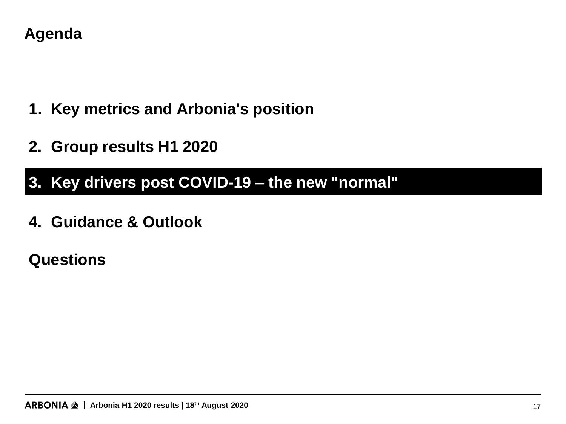#### **Agenda**

- **1. Key metrics and Arbonia's position**
- **2. Group results H1 2020**

## **3. Key drivers post COVID-19 – the new "normal" 3. Key drivers post COVID-19 – the new "normal"**

**4. Guidance & Outlook**

## **Questions**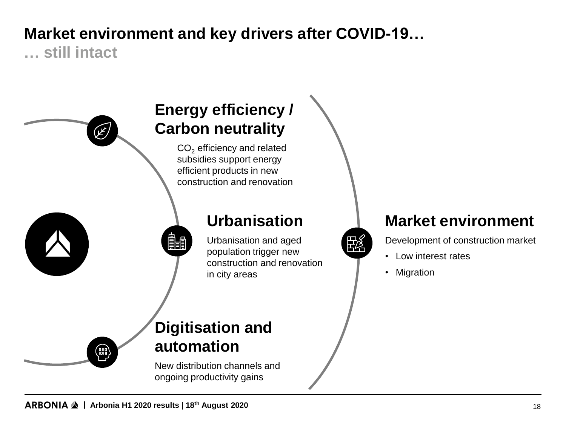## **Market environment and key drivers after COVID-19…**

**… still intact**

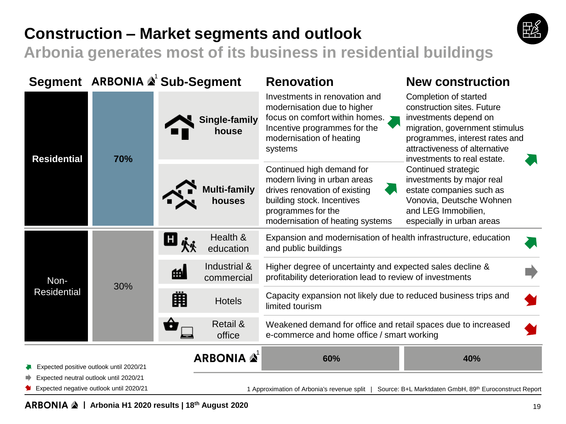## **Construction – Market segments and outlook**



**Arbonia generates most of its business in residential buildings**

|                                         |                                        | Segment ARBONIA & Sub-Segment   | <b>Renovation</b>                                                                                                                                                                  | <b>New construction</b>                                                                                                                                                                                          |  |  |
|-----------------------------------------|----------------------------------------|---------------------------------|------------------------------------------------------------------------------------------------------------------------------------------------------------------------------------|------------------------------------------------------------------------------------------------------------------------------------------------------------------------------------------------------------------|--|--|
| <b>Residential</b>                      | 70%                                    | Single-family<br>house          | Investments in renovation and<br>modernisation due to higher<br>focus on comfort within homes. $\sum$<br>Incentive programmes for the<br>modernisation of heating<br>systems       | Completion of started<br>construction sites. Future<br>investments depend on<br>migration, government stimulus<br>programmes, interest rates and<br>attractiveness of alternative<br>investments to real estate. |  |  |
|                                         |                                        | <b>Multi-family</b><br>houses   | Continued high demand for<br>modern living in urban areas<br>drives renovation of existing<br>building stock. Incentives<br>programmes for the<br>modernisation of heating systems | Continued strategic<br>investments by major real<br>estate companies such as<br>Vonovia, Deutsche Wohnen<br>and LEG Immobilien,<br>especially in urban areas                                                     |  |  |
| Non-<br><b>Residential</b>              |                                        | Health &<br>G į<br>education    | Expansion and modernisation of health infrastructure, education<br>and public buildings                                                                                            |                                                                                                                                                                                                                  |  |  |
|                                         | 30%                                    | Industrial &<br>的<br>commercial | Higher degree of uncertainty and expected sales decline &<br>profitability deterioration lead to review of investments                                                             |                                                                                                                                                                                                                  |  |  |
|                                         |                                        | 開<br><b>Hotels</b>              | Capacity expansion not likely due to reduced business trips and<br>limited tourism                                                                                                 |                                                                                                                                                                                                                  |  |  |
|                                         |                                        | Retail &<br>office              | Weakened demand for office and retail spaces due to increased<br>e-commerce and home office / smart working                                                                        |                                                                                                                                                                                                                  |  |  |
| Expected positive outlook until 2020/21 |                                        | <b>ARBONIA</b>                  | 60%                                                                                                                                                                                | 40%                                                                                                                                                                                                              |  |  |
| Expected negative outlook until 2020/21 | Expected neutral outlook until 2020/21 |                                 | 1 Approximation of Arbonia's revenue split                                                                                                                                         | Source: B+L Marktdaten GmbH, 89th Euroconstruct Report                                                                                                                                                           |  |  |

#### **| Arbonia H1 2020 results | 18th August 2020** 19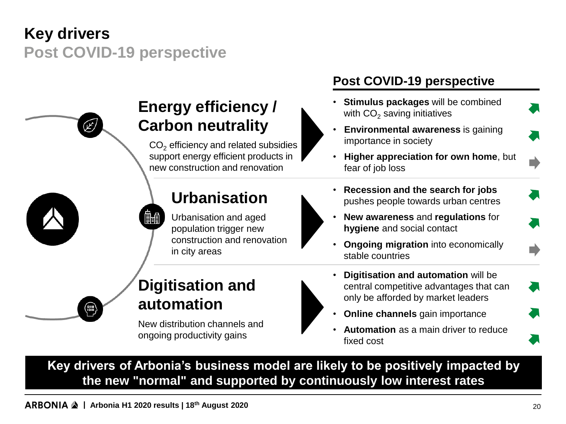## **Key drivers Post COVID-19 perspective**



## **Energy efficiency / Carbon neutrality**

 $CO<sub>2</sub>$  efficiency and related subsidies support energy efficient products in new construction and renovation

#### **Urbanisation**

Urbanisation and aged population trigger new construction and renovation in city areas

#### **Post COVID-19 perspective**

- **Stimulus packages** will be combined with  $CO<sub>2</sub>$  saving initiatives
- **Environmental awareness** is gaining importance in society
- **Higher appreciation for own home**, but fear of job loss
- **Recession and the search for jobs**  pushes people towards urban centres
- **New awareness** and **regulations** for **hygiene** and social contact
- **Ongoing migration** into economically stable countries

#### **Digitisation and automation**

New distribution channels and ongoing productivity gains



- **Digitisation and automation** will be central competitive advantages that can only be afforded by market leaders
- **Online channels** gain importance
- **Automation** as a main driver to reduce fixed cost

**Key drivers of Arbonia's business model are likely to be positively impacted by the new "normal" and supported by continuously low interest rates**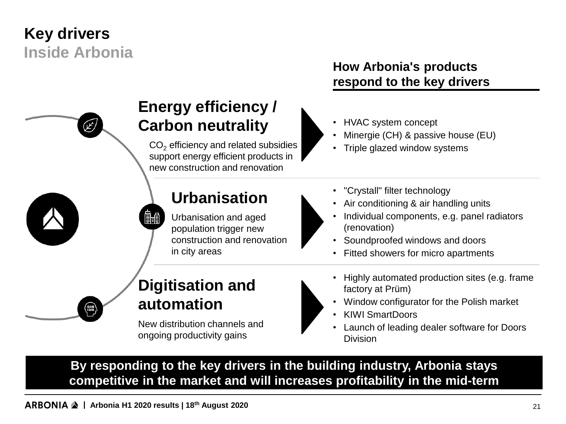## **Key drivers Inside Arbonia**



## **Energy efficiency / Carbon neutrality**

 $CO<sub>2</sub>$  efficiency and related subsidies support energy efficient products in new construction and renovation

#### **Urbanisation**

Urbanisation and aged population trigger new construction and renovation in city areas

#### **How Arbonia's products respond to the key drivers**

- HVAC system concept
- Minergie (CH) & passive house (EU)
- Triple glazed window systems
- "Crystall" filter technology
- Air conditioning & air handling units
- Individual components, e.g. panel radiators (renovation)
- Soundproofed windows and doors
- Fitted showers for micro apartments



#### **Digitisation and automation**

嗣

New distribution channels and ongoing productivity gains

- Highly automated production sites (e.g. frame factory at Prüm)
- Window configurator for the Polish market
- KIWI SmartDoors
- Launch of leading dealer software for Doors Division

**By responding to the key drivers in the building industry, Arbonia stays competitive in the market and will increases profitability in the mid-term**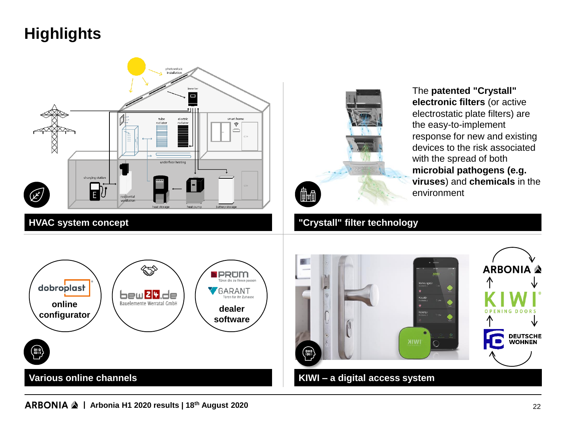## **Highlights**





The **patented "Crystall" electronic filters** (or active electrostatic plate filters) are the easy-to-implement response for new and existing devices to the risk associated with the spread of both **microbial pathogens (e.g. viruses**) and **chemicals** in the environment

#### **HVAC system concept "Crystall" filter technology**



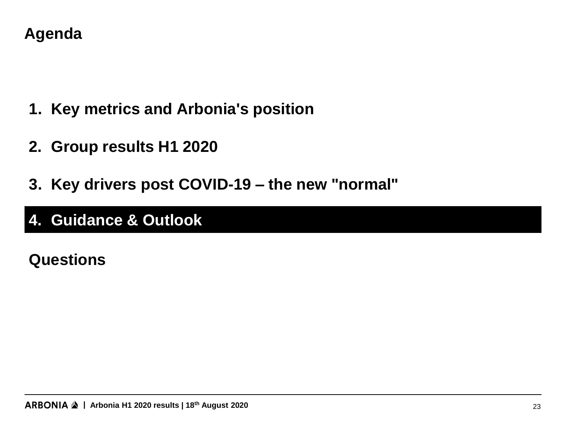#### **Agenda**

- **1. Key metrics and Arbonia's position**
- **2. Group results H1 2020**
- **3. Key drivers post COVID-19 – the new "normal"**

## **4. Guidance & Outlook 4. Guidance & Outlook**

## **Questions**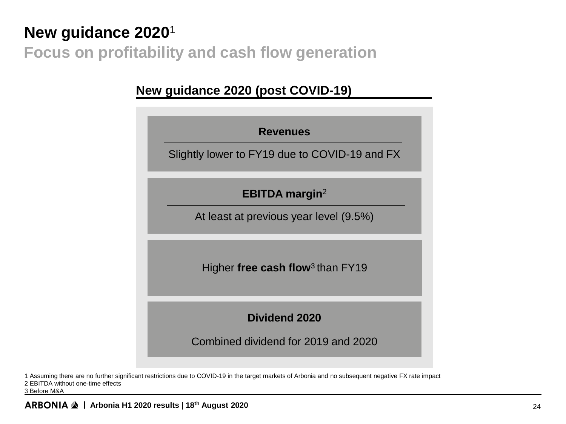## **New guidance 2020**<sup>1</sup> **Focus on profitability and cash flow generation**

#### **New guidance 2020 (post COVID-19)**



1 Assuming there are no further significant restrictions due to COVID-19 in the target markets of Arbonia and no subsequent negative FX rate impact

2 EBITDA without one-time effects

3 Before M&A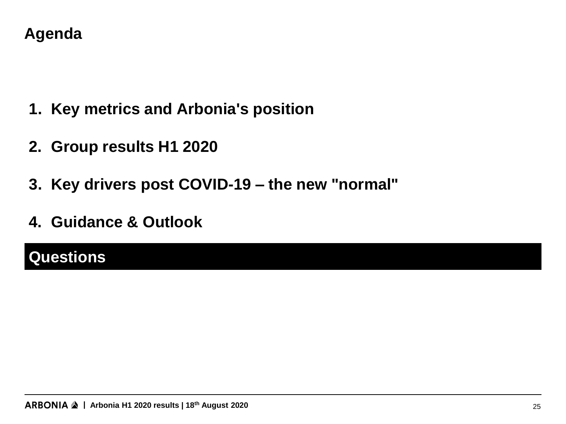#### **Agenda**

- **1. Key metrics and Arbonia's position**
- **2. Group results H1 2020**
- **3. Key drivers post COVID-19 – the new "normal"**
- **4. Guidance & Outlook**

## **Questions Questions**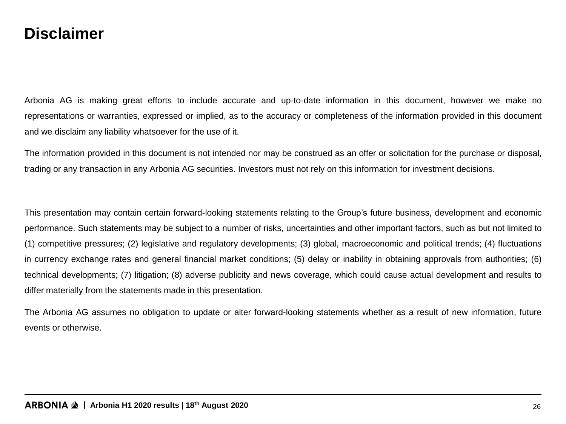#### **Disclaimer**

Arbonia AG is making great efforts to include accurate and up-to-date information in this document, however we make no representations or warranties, expressed or implied, as to the accuracy or completeness of the information provided in this document and we disclaim any liability whatsoever for the use of it.

The information provided in this document is not intended nor may be construed as an offer or solicitation for the purchase or disposal, trading or any transaction in any Arbonia AG securities. Investors must not rely on this information for investment decisions.

This presentation may contain certain forward-looking statements relating to the Group's future business, development and economic performance. Such statements may be subject to a number of risks, uncertainties and other important factors, such as but not limited to (1) competitive pressures; (2) legislative and regulatory developments; (3) global, macroeconomic and political trends; (4) fluctuations in currency exchange rates and general financial market conditions; (5) delay or inability in obtaining approvals from authorities; (6) technical developments; (7) litigation; (8) adverse publicity and news coverage, which could cause actual development and results to differ materially from the statements made in this presentation.

The Arbonia AG assumes no obligation to update or alter forward-looking statements whether as a result of new information, future events or otherwise.